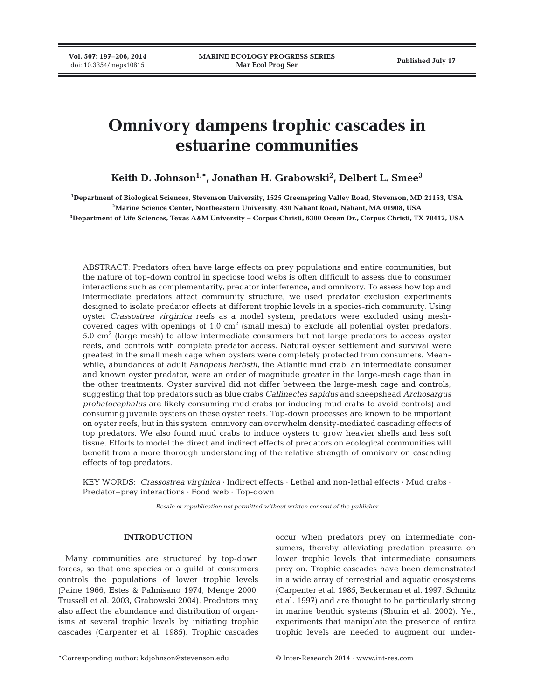# **Omnivory dampens trophic cascades in estuarine communities**

**Keith D. Johnson1,\*, Jonathan H. Grabowski2 , Delbert L. Smee3**

**1 Department of Biological Sciences, Stevenson University, 1525 Greenspring Valley Road, Stevenson, MD 21153, USA 2Marine Science Center, Northeastern University, 430 Nahant Road, Nahant, MA 01908, USA 3Department of Life Sciences, Texas A&M University − Corpus Christi, 6300 Ocean Dr., Corpus Christi, TX 78412, USA**

ABSTRACT: Predators often have large effects on prey populations and entire communities, but the nature of top-down control in speciose food webs is often difficult to assess due to consumer interactions such as complementarity, predator interference, and omnivory. To assess how top and intermediate predators affect community structure, we used predator exclusion experiments designed to isolate predator effects at different trophic levels in a species-rich community. Using oyster *Crassostrea virginica* reefs as a model system, predators were excluded using meshcovered cages with openings of  $1.0 \text{ cm}^2$  (small mesh) to exclude all potential oyster predators,  $5.0 \text{ cm}^2$  (large mesh) to allow intermediate consumers but not large predators to access oyster reefs, and controls with complete predator access. Natural oyster settlement and survival were greatest in the small mesh cage when oysters were completely protected from consumers. Meanwhile, abundances of adult *Panopeus herbstii*, the Atlantic mud crab, an intermediate consumer and known oyster predator, were an order of magnitude greater in the large-mesh cage than in the other treatments. Oyster survival did not differ between the large-mesh cage and controls, suggesting that top predators such as blue crabs *Callinectes sapidus* and sheepshead *Archosargus probatocephalus* are likely consuming mud crabs (or inducing mud crabs to avoid controls) and consuming juvenile oysters on these oyster reefs. Top-down processes are known to be important on oyster reefs, but in this system, omnivory can overwhelm density-mediated cascading effects of top predators. We also found mud crabs to induce oysters to grow heavier shells and less soft tissue. Efforts to model the direct and indirect effects of predators on ecological communities will benefit from a more thorough understanding of the relative strength of omnivory on cascading effects of top predators.

KEY WORDS: *Crassostrea virginica* · Indirect effects · Lethal and non-lethal effects · Mud crabs · Predator–prey interactions · Food web · Top-down

*Resale or republication not permitted without written consent of the publisher*

# **INTRODUCTION**

Many communities are structured by top-down forces, so that one species or a guild of consumers controls the populations of lower trophic levels (Paine 1966, Estes & Palmisano 1974, Menge 2000, Trussell et al. 2003, Grabowski 2004). Predators may also affect the abundance and distribution of organisms at several trophic levels by initiating trophic cascades (Carpenter et al. 1985). Trophic cascades

occur when predators prey on intermediate consumers, thereby alleviating predation pressure on lower trophic levels that intermediate consumers prey on. Trophic cascades have been demonstrated in a wide array of terrestrial and aquatic ecosystems (Carpenter et al. 1985, Beckerman et al. 1997, Schmitz et al. 1997) and are thought to be particularly strong in marine benthic systems (Shurin et al. 2002). Yet, experiments that manipulate the presence of entire trophic levels are needed to augment our under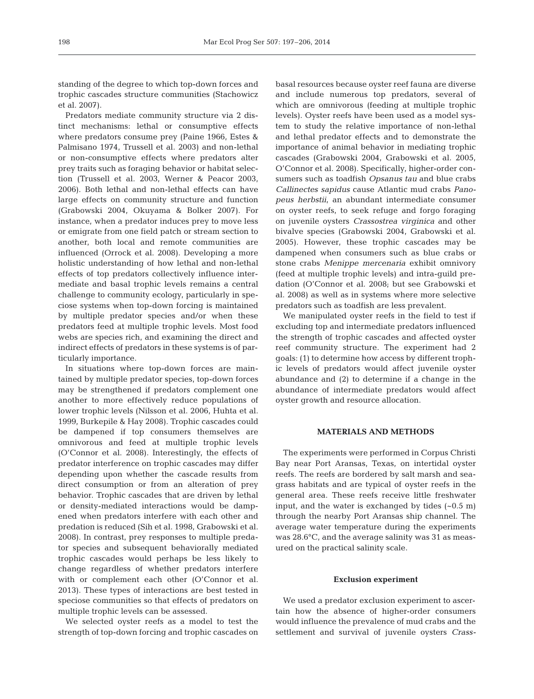standing of the degree to which top-down forces and trophic cascades structure communities (Stachowicz et al. 2007).

Predators mediate community structure via 2 distinct mechanisms: lethal or consumptive effects where predators consume prey (Paine 1966, Estes & Palmisano 1974, Trussell et al. 2003) and non-lethal or non-consumptive effects where predators alter prey traits such as foraging behavior or habitat selection (Trussell et al. 2003, Werner & Peacor 2003, 2006). Both lethal and non-lethal effects can have large effects on community structure and function (Grabowski 2004, Okuyama & Bolker 2007). For instance, when a predator induces prey to move less or emigrate from one field patch or stream section to another, both local and remote communities are influenced (Orrock et al. 2008). Developing a more holistic understanding of how lethal and non-lethal effects of top predators collectively influence intermediate and basal trophic levels remains a central challenge to community ecology, particularly in speciose systems when top-down forcing is maintained by multiple predator species and/or when these predators feed at multiple trophic levels. Most food webs are species rich, and examining the direct and indirect effects of predators in these systems is of particularly importance.

In situations where top-down forces are maintained by multiple predator species, top-down forces may be strengthened if predators complement one another to more effectively reduce populations of lower trophic levels (Nilsson et al. 2006, Huhta et al. 1999, Burkepile & Hay 2008). Trophic cascades could be dampened if top consumers themselves are omnivorous and feed at multiple trophic levels (O'Connor et al. 2008). Interestingly, the effects of predator interference on trophic cascades may differ depending upon whether the cascade results from direct consumption or from an alteration of prey behavior. Trophic cascades that are driven by lethal or density-mediated interactions would be dampened when predators interfere with each other and predation is reduced (Sih et al. 1998, Grabowski et al. 2008). In contrast, prey responses to multiple predator species and subsequent behaviorally mediated trophic cascades would perhaps be less likely to change regardless of whether predators interfere with or complement each other (O'Connor et al. 2013). These types of interactions are best tested in speciose communities so that effects of predators on multiple trophic levels can be assessed.

We selected oyster reefs as a model to test the strength of top-down forcing and trophic cascades on

basal resources because oyster reef fauna are diverse and include numerous top predators, several of which are omnivorous (feeding at multiple trophic levels). Oyster reefs have been used as a model system to study the relative importance of non-lethal and lethal predator effects and to demonstrate the importance of animal behavior in mediating trophic cascades (Grabowski 2004, Grabowski et al. 2005, O'Connor et al. 2008). Specifically, higher-order consumers such as toadfish *Opsanus tau* and blue crabs *Callinectes sapidus* cause Atlantic mud crabs *Pano peus herbstii*, an abundant intermediate consumer on oyster reefs, to seek refuge and forgo foraging on juvenile oysters *Crassostrea virginica* and other bivalve species (Grabowski 2004, Grabowski et al. 2005). However, these trophic cascades may be dampened when consumers such as blue crabs or stone crabs *Menippe mercenaria* exhibit omnivory (feed at multiple trophic levels) and intra-guild predation (O'Connor et al. 2008; but see Grabowski et al. 2008) as well as in systems where more selective predators such as toadfish are less prevalent.

We manipulated oyster reefs in the field to test if excluding top and intermediate predators influenced the strength of trophic cascades and affected oyster reef community structure. The experiment had 2 goals: (1) to determine how access by different troph ic levels of predators would affect juvenile oyster abundance and (2) to determine if a change in the abundance of intermediate predators would affect oyster growth and resource allocation.

# **MATERIALS AND METHODS**

The experiments were performed in Corpus Christi Bay near Port Aransas, Texas, on intertidal oyster reefs. The reefs are bordered by salt marsh and seagrass habitats and are typical of oyster reefs in the general area. These reefs receive little freshwater input, and the water is exchanged by tides  $(-0.5 \text{ m})$ through the nearby Port Aransas ship channel. The average water temperature during the experiments was 28.6°C, and the average salinity was 31 as measured on the practical salinity scale.

# **Exclusion experiment**

We used a predator exclusion experiment to ascertain how the absence of higher-order consumers would influence the prevalence of mud crabs and the settlement and survival of juvenile oysters *Crass-*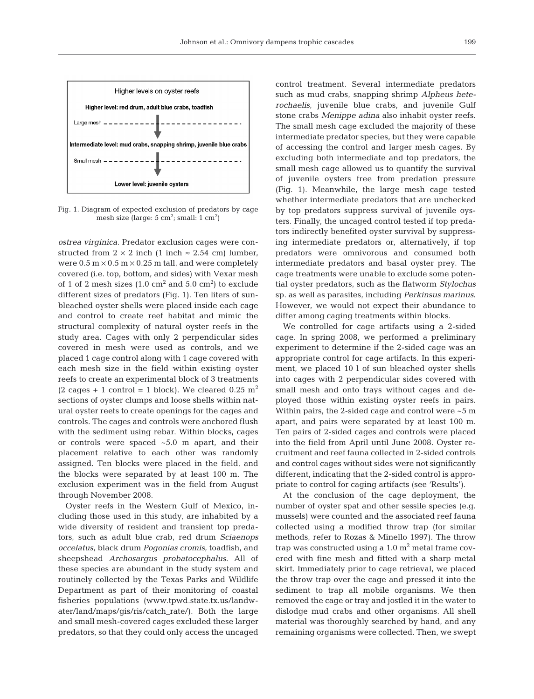

Fig. 1. Diagram of expected exclusion of predators by cage mesh size (large:  $5 \text{ cm}^2$ ; small:  $1 \text{ cm}^2$ )

*ostrea virginica*. Predator exclusion cages were constructed from  $2 \times 2$  inch (1 inch  $\approx 2.54$  cm) lumber, were  $0.5 \text{ m} \times 0.5 \text{ m} \times 0.25 \text{ m}$  tall, and were completely covered (i.e. top, bottom, and sides) with Vexar mesh of 1 of 2 mesh sizes  $(1.0 \text{ cm}^2 \text{ and } 5.0 \text{ cm}^2)$  to exclude different sizes of predators (Fig. 1). Ten liters of sunbleached oyster shells were placed inside each cage and control to create reef habitat and mimic the structural complexity of natural oyster reefs in the study area. Cages with only 2 perpendicular sides covered in mesh were used as controls, and we placed 1 cage control along with 1 cage covered with each mesh size in the field within existing oyster reefs to create an experimental block of 3 treatments  $(2 \text{ cages} + 1 \text{ control} = 1 \text{ block})$ . We cleared 0.25 m<sup>2</sup> sections of oyster clumps and loose shells within natural oyster reefs to create openings for the cages and controls. The cages and controls were anchored flush with the sediment using rebar. Within blocks, cages or controls were spaced ~5.0 m apart, and their placement relative to each other was randomly assigned. Ten blocks were placed in the field, and the blocks were separated by at least 100 m. The exclusion experiment was in the field from August through November 2008.

Oyster reefs in the Western Gulf of Mexico, in cluding those used in this study, are inhabited by a wide diversity of resident and transient top predators, such as adult blue crab, red drum *Sciaenops occelatus*, black drum *Pogonias cromis*, toadfish, and sheepshead *Archosargus probatocephalus*. All of these species are abundant in the study system and routinely collected by the Texas Parks and Wildlife Department as part of their monitoring of coastal fisheries populations (www.tpwd. state.tx.us/landwater/land/maps/gis/ris/catch\_rate/). Both the large and small mesh-covered cages excluded these larger predators, so that they could only access the uncaged

control treatment. Several intermediate predators such as mud crabs, snapping shrimp *Alpheus heterochaelis*, juvenile blue crabs, and juvenile Gulf stone crabs *Menippe adina* also inhabit oyster reefs. The small mesh cage excluded the majority of these intermediate predator species, but they were capable of accessing the control and larger mesh cages. By excluding both intermediate and top predators, the small mesh cage allowed us to quantify the survival of juvenile oysters free from predation pressure (Fig. 1). Meanwhile, the large mesh cage tested whether intermediate predators that are unchecked by top predators suppress survival of juvenile oysters. Finally, the uncaged control tested if top predators indirectly benefited oyster survival by suppressing intermediate predators or, alternatively, if top predators were omnivorous and consumed both intermediate predators and basal oyster prey. The cage treatments were unable to exclude some potential oyster predators, such as the flatworm *Stylochus* sp. as well as parasites, including *Perkinsus marinus*. However, we would not expect their abundance to differ among caging treatments within blocks.

We controlled for cage artifacts using a 2-sided cage. In spring 2008, we performed a preliminary experiment to determine if the 2-sided cage was an appropriate control for cage artifacts. In this experiment, we placed 10 l of sun bleached oyster shells into cages with 2 perpendicular sides covered with small mesh and onto trays without cages and deployed those within existing oyster reefs in pairs. Within pairs, the 2-sided cage and control were ~5 m apart, and pairs were separated by at least 100 m. Ten pairs of 2-sided cages and controls were placed into the field from April until June 2008. Oyster re cruitment and reef fauna collected in 2-sided controls and control cages without sides were not significantly different, indicating that the 2-sided control is appropriate to control for caging artifacts (see 'Results').

At the conclusion of the cage deployment, the number of oyster spat and other sessile species (e.g. mussels) were counted and the associated reef fauna collected using a modified throw trap (for similar methods, refer to Rozas & Minello 1997). The throw trap was constructed using a  $1.0 \text{ m}^2$  metal frame covered with fine mesh and fitted with a sharp metal skirt. Immediately prior to cage retrieval, we placed the throw trap over the cage and pressed it into the sediment to trap all mobile organisms. We then removed the cage or tray and jostled it in the water to dislodge mud crabs and other organisms. All shell material was thoroughly searched by hand, and any remaining organisms were collected. Then, we swept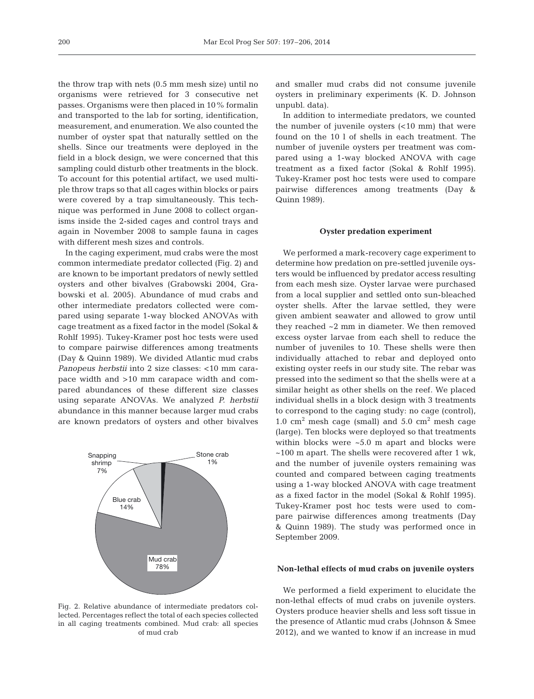the throw trap with nets (0.5 mm mesh size) until no organisms were retrieved for 3 consecutive net passes. Organisms were then placed in 10% formalin and transported to the lab for sorting, identification, measurement, and enumeration. We also counted the number of oyster spat that naturally settled on the shells. Since our treatments were deployed in the field in a block design, we were concerned that this sampling could disturb other treatments in the block. To account for this potential artifact, we used multiple throw traps so that all cages within blocks or pairs were covered by a trap simultaneously. This technique was performed in June 2008 to collect organisms inside the 2-sided cages and control trays and again in November 2008 to sample fauna in cages with different mesh sizes and controls.

In the caging experiment, mud crabs were the most common intermediate predator collected (Fig. 2) and are known to be important predators of newly settled oysters and other bivalves (Grabowski 2004, Grabowski et al. 2005). Abundance of mud crabs and other intermediate predators collected were compared using separate 1-way blocked ANOVAs with cage treatment as a fixed factor in the model (Sokal & Rohlf 1995). Tukey-Kramer post hoc tests were used to compare pairwise differences among treatments (Day & Quinn 1989). We divided Atlantic mud crabs *Panopeus herbstii* into 2 size classes: <10 mm carapace width and >10 mm carapace width and compared abundances of these different size classes using separate ANOVAs. We analyzed *P. herbstii* abundance in this manner because larger mud crabs are known predators of oysters and other bivalves



Fig. 2. Relative abundance of intermediate predators collected. Percentages reflect the total of each species collected in all caging treatments combined. Mud crab: all species of mud crab

and smaller mud crabs did not consume juvenile oysters in preliminary experiments (K. D. Johnson unpubl. data).

In addition to intermediate predators, we counted the number of juvenile oysters (<10 mm) that were found on the 10 l of shells in each treatment. The number of juvenile oysters per treatment was compared using a 1-way blocked ANOVA with cage treatment as a fixed factor (Sokal & Rohlf 1995). Tukey-Kramer post hoc tests were used to compare pairwise differences among treatments (Day & Quinn 1989).

## **Oyster predation experiment**

We performed a mark-recovery cage experiment to determine how predation on pre-settled juvenile oysters would be influenced by predator access resulting from each mesh size. Oyster larvae were purchased from a local supplier and settled onto sun-bleached oyster shells. After the larvae settled, they were given ambient seawater and allowed to grow until they reached ~2 mm in diameter. We then removed excess oyster larvae from each shell to reduce the number of juveniles to 10. These shells were then individually attached to rebar and deployed onto existing oyster reefs in our study site. The rebar was pressed into the sediment so that the shells were at a similar height as other shells on the reef. We placed individual shells in a block design with 3 treatments to correspond to the caging study: no cage (control), 1.0  $\text{cm}^2$  mesh cage (small) and 5.0  $\text{cm}^2$  mesh cage (large). Ten blocks were deployed so that treatments within blocks were  $\sim 5.0$  m apart and blocks were ~100 m apart. The shells were recovered after 1 wk, and the number of juvenile oysters remaining was counted and compared between caging treatments using a 1-way blocked ANOVA with cage treatment as a fixed factor in the model (Sokal & Rohlf 1995). Tukey-Kramer post hoc tests were used to compare pairwise differences among treatments (Day & Quinn 1989). The study was performed once in September 2009.

#### **Non-lethal effects of mud crabs on juvenile oysters**

We performed a field experiment to elucidate the non-lethal effects of mud crabs on juvenile oysters. Oysters produce heavier shells and less soft tissue in the presence of Atlantic mud crabs (Johnson & Smee 2012), and we wanted to know if an increase in mud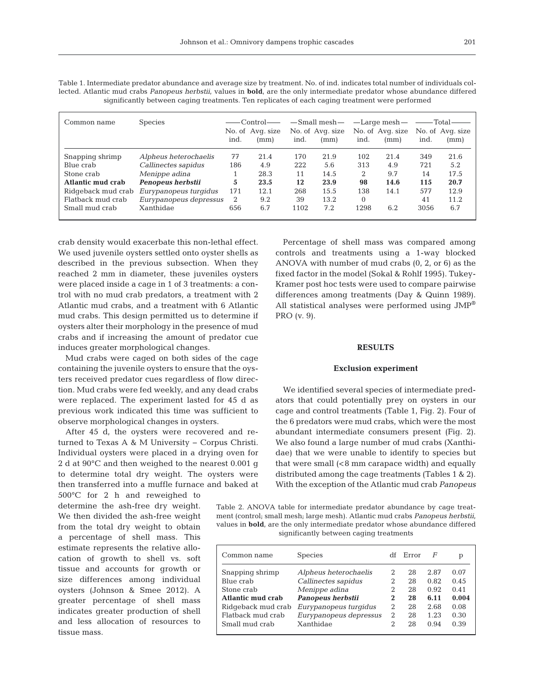| Common name        | <b>Species</b>         |      | ——Control——<br>No. of Avg. size |      | $-$ Small mesh $-$<br>No. of Avg. size |          | $-\text{Large mesh}-$<br>No. of Avg. size | —— Total— | No. of Avg. size |
|--------------------|------------------------|------|---------------------------------|------|----------------------------------------|----------|-------------------------------------------|-----------|------------------|
|                    |                        | ind. | (mm)                            | ind. | (mm)                                   | ind.     | (mm)                                      | ind.      | (mm)             |
| Snapping shrimp    | Alpheus heterochaelis  | 77   | 21.4                            | 170  | 21.9                                   | 102      | 21.4                                      | 349       | 21.6             |
| Blue crab          | Callinectes sapidus    | 186  | 4.9                             | 222  | 5.6                                    | 313      | 4.9                                       | 721       | 5.2              |
| Stone crab         | Menippe adina          |      | 28.3                            | 11   | 14.5                                   | 2        | 9.7                                       | 14        | 17.5             |
| Atlantic mud crab  | Penopeus herbstii      | 5    | 23.5                            | 12   | 23.9                                   | 98       | 14.6                                      | 115       | 20.7             |
| Ridgeback mud crab | Eurypanopeus turgidus  | 171  | 12.1                            | 268  | 15.5                                   | 138      | 14.1                                      | 577       | 12.9             |
| Flatback mud crab  | Eurypanopeus depressus | 2    | 9.2                             | 39   | 13.2                                   | $\theta$ |                                           | 41        | 11.2             |
| Small mud crab     | Xanthidae              | 656  | 6.7                             | 1102 | 7.2                                    | 1298     | 6.2                                       | 3056      | 6.7              |

Table 1. Intermediate predator abundance and average size by treatment. No. of ind. indicates total number of individuals collected. Atlantic mud crabs *Panopeus herbstii*, values in **bold**, are the only intermediate predator whose abundance differed significantly between caging treatments. Ten replicates of each caging treatment were performed

crab density would exacerbate this non-lethal effect. We used juvenile oysters settled onto oyster shells as described in the previous subsection. When they reached 2 mm in diameter, these juveniles oysters were placed inside a cage in 1 of 3 treatments: a control with no mud crab predators, a treatment with 2 Atlantic mud crabs, and a treatment with 6 Atlantic mud crabs. This design permitted us to determine if oysters alter their morphology in the presence of mud crabs and if increasing the amount of predator cue induces greater morphological changes.

Mud crabs were caged on both sides of the cage containing the juvenile oysters to ensure that the oysters received predator cues regardless of flow direction. Mud crabs were fed weekly, and any dead crabs were replaced. The experiment lasted for 45 d as previous work indicated this time was sufficient to observe morphological changes in oysters.

After 45 d, the oysters were recovered and returned to Texas A & M University − Corpus Christi. Individual oysters were placed in a drying oven for 2 d at 90°C and then weighed to the nearest 0.001 g to determine total dry weight. The oysters were then transferred into a muffle furnace and baked at

500°C for 2 h and reweighed to determine the ash-free dry weight. We then divided the ash-free weight from the total dry weight to obtain a percentage of shell mass. This estimate represents the relative allocation of growth to shell vs. soft tissue and accounts for growth or size differences among individual oysters (Johnson & Smee 2012). A greater percentage of shell mass indicates greater production of shell and less allocation of resources to tissue mass.

Percentage of shell mass was compared among controls and treatments using a 1-way blocked ANOVA with number of mud crabs (0, 2, or 6) as the fixed factor in the model (Sokal & Rohlf 1995). Tukey-Kramer post hoc tests were used to compare pairwise differences among treatments (Day & Quinn 1989). All statistical analyses were performed using JMP® PRO (v. 9).

#### **RESULTS**

# **Exclusion experiment**

We identified several species of intermediate predators that could potentially prey on oysters in our cage and control treatments (Table 1, Fig. 2). Four of the 6 predators were mud crabs, which were the most abundant intermediate consumers present (Fig. 2). We also found a large number of mud crabs (Xanthidae) that we were unable to identify to species but that were small  $( $8 \text{ mm})$  carapace width) and equally$ distributed among the cage treatments (Tables 1 & 2). With the exception of the Atlantic mud crab *Panopeus*

Table 2. ANOVA table for intermediate predator abundance by cage treatment (control; small mesh; large mesh). Atlantic mud crabs *Panopeus herbstii*, values in **bold**, are the only intermediate predator whose abundance differed significantly between caging treatments

| Common name        | <b>Species</b>         | df | Error | F    | р     |
|--------------------|------------------------|----|-------|------|-------|
| Snapping shrimp    | Alpheus heterochaelis  | 2  | 28    | 2.87 | 0.07  |
| Blue crab          | Callinectes sapidus    |    | 28    | 0.82 | 0.45  |
| Stone crab         | Menippe adina          | 2  | 28    | 0.92 | 0.41  |
| Atlantic mud crab  | Panopeus herbstii      | 2  | 28    | 6.11 | 0.004 |
| Ridgeback mud crab | Eurypanopeus turgidus  | 2  | 28    | 2.68 | 0.08  |
| Flatback mud crab  | Eurypanopeus depressus | 2  | 28    | 1.23 | 0.30  |
| Small mud crab     | Xanthidae              |    | 28    | 0.94 | 0.39  |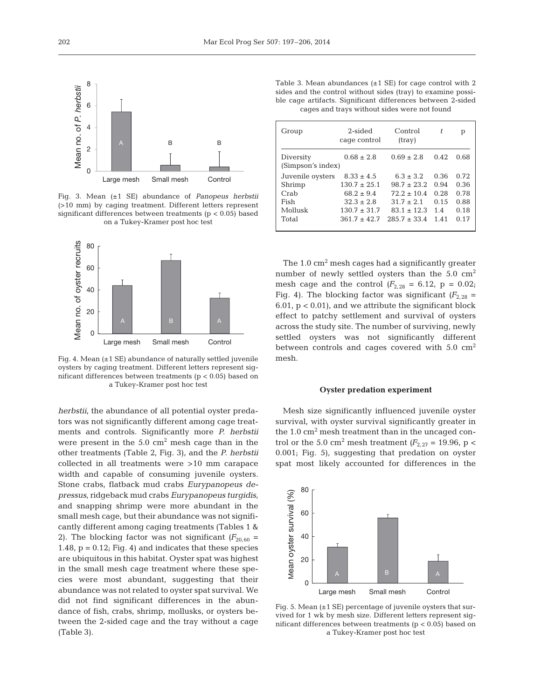

Fig. 3. Mean (±1 SE) abundance of *Panopeus herbstii* (>10 mm) by caging treatment. Different letters represent significant differences between treatments (p < 0.05) based on a Tukey-Kramer post hoc test



Fig. 4. Mean (±1 SE) abundance of naturally settled juvenile oysters by caging treatment. Different letters represent significant differences between treatments (p < 0.05) based on a Tukey-Kramer post hoc test

*herbstii*, the abundance of all potential oyster predators was not significantly different among cage treatments and controls. Significantly more *P. herbstii* were present in the  $5.0 \text{ cm}^2$  mesh cage than in the other treatments (Table 2, Fig. 3), and the *P. herbstii* collected in all treatments were >10 mm carapace width and capable of consuming juvenile oysters. Stone crabs, flatback mud crabs *Eurypanopeus depressus*, ridgeback mud crabs *Eurypanopeus turgidis*, and snapping shrimp were more abundant in the small mesh cage, but their abundance was not significantly different among caging treatments (Tables 1 & 2). The blocking factor was not significant  $(F_{20.60} =$ 1.48,  $p = 0.12$ ; Fig. 4) and indicates that these species are ubiquitous in this habitat. Oyster spat was highest in the small mesh cage treatment where these species were most abundant, suggesting that their abundance was not related to oyster spat survival. We did not find significant differences in the abundance of fish, crabs, shrimp, mollusks, or oysters between the 2-sided cage and the tray without a cage (Table 3).

Table 3. Mean abundances  $(\pm 1 \text{ SE})$  for cage control with 2 sides and the control without sides (tray) to examine possible cage artifacts. Significant differences between 2-sided cages and trays without sides were not found

| Group                          | 2-sided<br>cage control | Control<br>(tray) | t    | р    |
|--------------------------------|-------------------------|-------------------|------|------|
| Diversity<br>(Simpson's index) | $0.68 \pm 2.8$          | $0.69 \pm 2.8$    | 0.42 | 0.68 |
| Juvenile oysters               | $8.33 \pm 4.5$          | $6.3 \pm 3.2$     | 0.36 | 0.72 |
| Shrimp                         | $130.7 + 25.1$          | $98.7 \pm 23.2$   | 0.94 | 0.36 |
| Crab                           | $68.2 + 9.4$            | $72.2 \pm 10.4$   | 0.28 | 0.78 |
| Fish                           | $32.3 + 2.8$            | $31.7 + 2.1$      | 0.15 | 0.88 |
| Mollusk                        | $130.7 \pm 31.7$        | $83.1 + 12.3$     | 1.4  | 0.18 |
| Total                          | $361.7 + 42.7$          | $285.7 + 33.4$    | 1.41 | 0.17 |

The  $1.0 \text{ cm}^2$  mesh cages had a significantly greater number of newly settled oysters than the  $5.0 \text{ cm}^2$ mesh cage and the control  $(F_{2,28} = 6.12, p = 0.02;$ Fig. 4). The blocking factor was significant  $(F_{2,28} =$ 6.01,  $p < 0.01$ ), and we attribute the significant block effect to patchy settlement and survival of oysters across the study site. The number of surviving, newly settled oysters was not significantly different between controls and cages covered with  $5.0 \text{ cm}^2$ mesh.

#### **Oyster predation experiment**

Mesh size significantly influenced juvenile oyster survival, with oyster survival significantly greater in the  $1.0 \text{ cm}^2$  mesh treatment than in the uncaged control or the 5.0 cm<sup>2</sup> mesh treatment  $(F_{2,27} = 19.96, p <$ 0.001; Fig. 5), suggesting that predation on oyster spat most likely accounted for differences in the



Fig. 5. Mean  $(\pm 1 \text{ SE})$  percentage of juvenile oysters that survived for 1 wk by mesh size. Different letters represent significant differences between treatments ( $p < 0.05$ ) based on a Tukey-Kramer post hoc test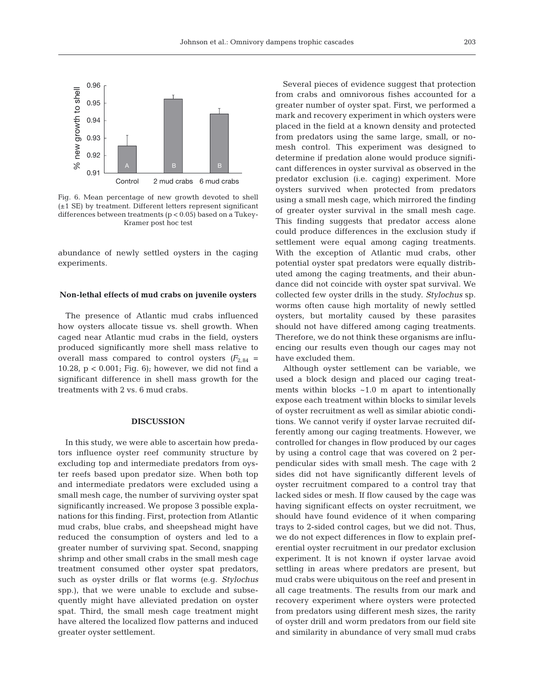

Fig. 6. Mean percentage of new growth devoted to shell (±1 SE) by treatment. Different letters represent significant differences between treatments (p < 0.05) based on a Tukey-Kramer post hoc test

abundance of newly settled oysters in the caging experiments.

## **Non-lethal effects of mud crabs on juvenile oysters**

The presence of Atlantic mud crabs influenced how oysters allocate tissue vs. shell growth. When caged near Atlantic mud crabs in the field, oysters produced significantly more shell mass relative to overall mass compared to control oysters  $(F_{2,84} =$ 10.28,  $p < 0.001$ ; Fig. 6); however, we did not find a significant difference in shell mass growth for the treatments with 2 vs. 6 mud crabs.

## **DISCUSSION**

In this study, we were able to ascertain how predators influence oyster reef community structure by excluding top and intermediate predators from oyster reefs based upon predator size. When both top and intermediate predators were excluded using a small mesh cage, the number of surviving oyster spat significantly increased. We propose 3 possible explanations for this finding. First, protection from Atlantic mud crabs, blue crabs, and sheepshead might have reduced the consumption of oysters and led to a greater number of surviving spat. Second, snapping shrimp and other small crabs in the small mesh cage treatment consumed other oyster spat predators, such as oyster drills or flat worms (e.g. *Stylochus* spp.), that we were unable to exclude and subsequently might have alleviated predation on oyster spat. Third, the small mesh cage treatment might have altered the localized flow patterns and induced greater oyster settlement.

Several pieces of evidence suggest that protection from crabs and omnivorous fishes accounted for a greater number of oyster spat. First, we performed a mark and recovery experiment in which oysters were placed in the field at a known density and protected from predators using the same large, small, or nomesh control. This experiment was designed to determine if predation alone would produce significant differences in oyster survival as observed in the predator exclusion (i.e. caging) experiment. More oysters survived when protected from predators using a small mesh cage, which mirrored the finding of greater oyster survival in the small mesh cage. This finding suggests that predator access alone could produce differences in the exclusion study if settlement were equal among caging treatments. With the exception of Atlantic mud crabs, other potential oyster spat predators were equally distributed among the caging treatments, and their abundance did not coincide with oyster spat survival. We collected few oyster drills in the study. *Stylochus* sp. worms often cause high mortality of newly settled oysters, but mortality caused by these parasites should not have differed among caging treatments. Therefore, we do not think these organisms are influencing our results even though our cages may not have excluded them.

Although oyster settlement can be variable, we used a block design and placed our caging treatments within blocks ~1.0 m apart to intentionally expose each treatment within blocks to similar levels of oyster recruitment as well as similar abiotic conditions. We cannot verify if oyster larvae recruited differently among our caging treatments. However, we controlled for changes in flow produced by our cages by using a control cage that was covered on 2 perpendicular sides with small mesh. The cage with 2 sides did not have significantly different levels of oyster recruitment compared to a control tray that lacked sides or mesh. If flow caused by the cage was having significant effects on oyster recruitment, we should have found evidence of it when comparing trays to 2-sided control cages, but we did not. Thus, we do not expect differences in flow to explain preferential oyster recruitment in our predator exclusion experiment. It is not known if oyster larvae avoid settling in areas where predators are present, but mud crabs were ubiquitous on the reef and present in all cage treatments. The results from our mark and recovery experiment where oysters were protected from predators using different mesh sizes, the rarity of oyster drill and worm predators from our field site and similarity in abundance of very small mud crabs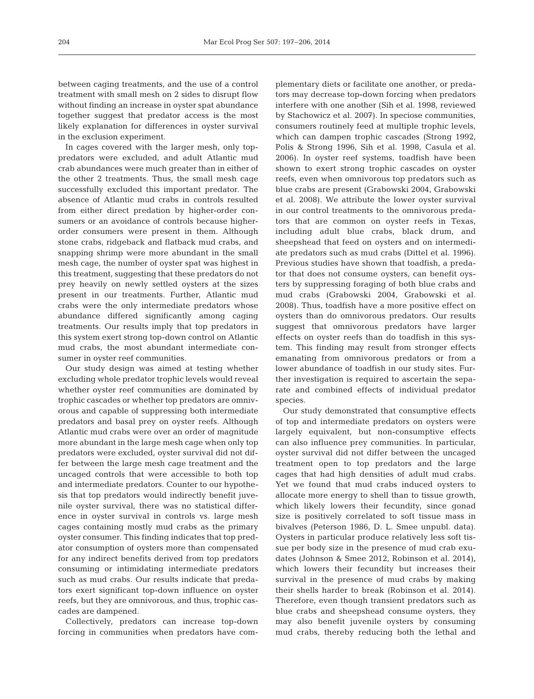between caging treatments, and the use of a control treatment with small mesh on 2 sides to disrupt flow without finding an increase in oyster spat abundance together suggest that predator access is the most likely explanation for differences in oyster survival in the exclusion experiment.

In cages covered with the larger mesh, only toppredators were excluded, and adult Atlantic mud crab abundances were much greater than in either of the other 2 treatments. Thus, the small mesh cage successfully excluded this important predator. The absence of Atlantic mud crabs in controls resulted from either direct predation by higher-order consumers or an avoidance of controls because higherorder consumers were present in them. Although stone crabs, ridgeback and flatback mud crabs, and snapping shrimp were more abundant in the small mesh cage, the number of oyster spat was highest in this treatment, suggesting that these predators do not prey heavily on newly settled oysters at the sizes present in our treatments. Further, Atlantic mud crabs were the only intermediate predators whose abundance differed significantly among caging treatments. Our results imply that top predators in this system exert strong top-down control on Atlantic mud crabs, the most abundant intermediate consumer in oyster reef communities.

Our study design was aimed at testing whether excluding whole predator trophic levels would reveal whether oyster reef communities are dominated by trophic cascades or whether top predators are omnivorous and capable of suppressing both intermediate predators and basal prey on oyster reefs. Although Atlantic mud crabs were over an order of magnitude more abundant in the large mesh cage when only top predators were excluded, oyster survival did not differ between the large mesh cage treatment and the uncaged controls that were accessible to both top and intermediate predators. Counter to our hypothesis that top predators would indirectly benefit juvenile oyster survival, there was no statistical difference in oyster survival in controls vs. large mesh cages containing mostly mud crabs as the primary oyster consumer. This finding indicates that top predator consumption of oysters more than compensated for any indirect benefits derived from top predators consuming or intimidating intermediate predators such as mud crabs. Our results indicate that predators exert significant top-down influence on oyster reefs, but they are omnivorous, and thus, trophic cascades are dampened.

Collectively, predators can increase top-down forcing in communities when predators have complementary diets or facilitate one another, or predators may decrease top-down forcing when predators interfere with one another (Sih et al. 1998, reviewed by Stachowicz et al. 2007). In speciose communities, consumers routinely feed at multiple trophic levels, which can dampen trophic cascades (Strong 1992, Polis & Strong 1996, Sih et al. 1998, Casula et al. 2006). In oyster reef systems, toadfish have been shown to exert strong trophic cascades on oyster reefs, even when omnivorous top predators such as blue crabs are present (Grabowski 2004, Grabowski et al. 2008). We attribute the lower oyster survival in our control treatments to the omnivorous predators that are common on oyster reefs in Texas, including adult blue crabs, black drum, and sheepshead that feed on oysters and on intermediate predators such as mud crabs (Dittel et al. 1996). Previous studies have shown that toadfish, a predator that does not consume oysters, can benefit oysters by suppressing foraging of both blue crabs and mud crabs (Grabowski 2004, Grabowski et al. 2008). Thus, toadfish have a more positive effect on oysters than do omnivorous predators. Our results suggest that omnivorous predators have larger effects on oyster reefs than do toadfish in this system. This finding may result from stronger effects emanating from omnivorous predators or from a lower abundance of toadfish in our study sites. Further investigation is required to ascertain the separate and combined effects of individual predator species.

Our study demonstrated that consumptive effects of top and intermediate predators on oysters were largely equivalent, but non-consumptive effects can also influence prey communities. In particular, oyster survival did not differ between the uncaged treatment open to top predators and the large cages that had high densities of adult mud crabs. Yet we found that mud crabs induced oysters to allocate more energy to shell than to tissue growth, which likely lowers their fecundity, since gonad size is positively correlated to soft tissue mass in bivalves (Peterson 1986, D. L. Smee unpubl. data). Oysters in particular produce relatively less soft tissue per body size in the presence of mud crab exudates (Johnson & Smee 2012, Robinson et al. 2014), which lowers their fecundity but increases their survival in the presence of mud crabs by making their shells harder to break (Robinson et al. 2014). Therefore, even though transient predators such as blue crabs and sheepshead consume oysters, they may also benefit juvenile oysters by consuming mud crabs, thereby reducing both the lethal and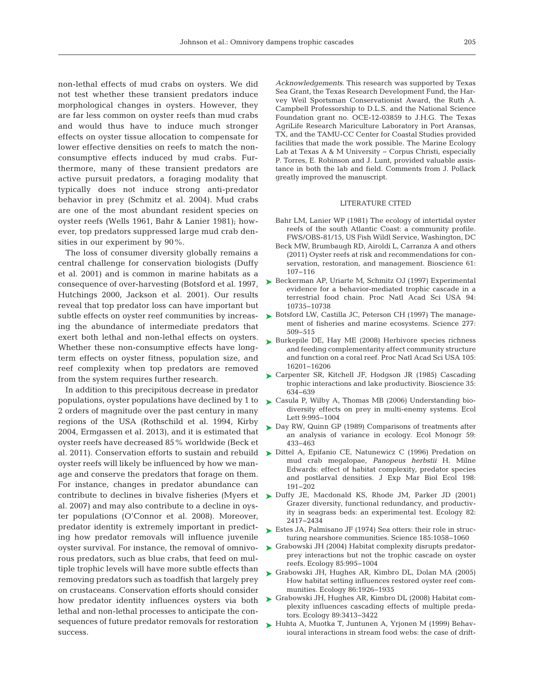non-lethal effects of mud crabs on oysters. We did not test whether these transient predators induce morphological changes in oysters. However, they are far less common on oyster reefs than mud crabs and would thus have to induce much stronger effects on oyster tissue allocation to compensate for lower effective densities on reefs to match the nonconsumptive effects induced by mud crabs. Furthermore, many of these transient predators are active pursuit predators, a foraging modality that typically does not induce strong anti-predator behavior in prey (Schmitz et al. 2004). Mud crabs are one of the most abundant resident species on oyster reefs (Wells 1961, Bahr & Lanier 1981); however, top predators suppressed large mud crab densities in our experiment by 90%.

The loss of consumer diversity globally remains a central challenge for conservation biologists (Duffy et al. 2001) and is common in marine habitats as a consequence of over-harvesting (Botsford et al. 1997, Hutchings 2000, Jackson et al. 2001). Our results reveal that top predator loss can have important but subtle effects on oyster reef communities by increasing the abundance of intermediate predators that exert both lethal and non-lethal effects on oysters. Whether these non-consumptive effects have longterm effects on oyster fitness, population size, and reef complexity when top predators are removed from the system requires further research.

In addition to this precipitous decrease in predator populations, oyster populations have declined by 1 to 2 orders of magnitude over the past century in many regions of the USA (Rothschild et al. 1994, Kirby 2004, Ermgassen et al. 2013), and it is estimated that oyster reefs have decreased 85% worldwide (Beck et oyster reefs will likely be influenced by how we manage and conserve the predators that forage on them. For instance, changes in predator abundance can al. 2007) and may also contribute to a decline in oyster populations (O'Connor et al. 2008). Moreover, predator identity is extremely important in predicting how predator removals will influence juvenile oyster survival. For instance, the removal of omnivorous predators, such as blue crabs, that feed on multiple trophic levels will have more subtle effects than removing predators such as toadfish that largely prey on crustaceans. Conservation efforts should consider how predator identity influences oysters via both lethal and non-lethal processes to anticipate the consequences of future predator removals for restoration success.

*Acknowledgements.* This research was supported by Texas Sea Grant, the Texas Research Development Fund, the Harvey Weil Sportsman Conservationist Award, the Ruth A. Campbell Professorship to D.L.S. and the National Science Foundation grant no. OCE-12-03859 to J.H.G. The Texas [AgriLife Research Mariculture Laboratory in Port Aransas,](http://dx.doi.org/10.1525/bio.2011.61.2.5) TX, and the TAMU-CC Center for Coastal Studies provided facilities that made the work possible. The Marine Ecology Lab at Texas A & M University − Corpus Christi, especially P. Torres, E. Robinson and J. Lunt, provided valuable assistance in both the lab and field. Comments from J. Pollack greatly improved the manuscript.

## LITERATURE CITED

- Bahr LM, Lanier WP (1981) The ecology of intertidal oyster reefs of the south Atlantic Coast: a community profile. FWS/OBS-81/15, US Fish Wildl Service, Washington, DC
- Beck MW, Brumbaugh RD, Airoldi L, Carranza A and others (2011) Oyster reefs at risk and recommendations for conservation, restoration, and management. Bioscience 61: 107−116
- ► [Beckerman AP, Uriarte M, Schmitz OJ \(1997\) Experimental](http://dx.doi.org/10.1073/pnas.94.20.10735) evidence for a behavior-mediated trophic cascade in a terrestrial food chain. Proc Natl Acad Sci USA 94: 10735−10738
- ► [Botsford LW, Castilla JC, Peterson CH \(1997\) The manage](http://dx.doi.org/10.1126/science.277.5325.509)ment of fisheries and marine ecosystems. Science 277: 509−515
- ▶ [Burkepile DE, Hay ME \(2008\) Herbivore species richness](http://dx.doi.org/10.1073/pnas.0801946105) and feeding complementarity affect community structure and function on a coral reef. Proc Natl Acad Sci USA 105: 16201−16206
- ► [Carpenter SR, Kitchell JF, Hodgson JR \(1985\) Cascading](http://dx.doi.org/10.2307/1309989) trophic interactions and lake productivity. Bioscience 35: 634−639
- ► Casula P, Wilby A, Thomas MB (2006) Understanding biodiversity effects on prey in multi-enemy systems. Ecol Lett 9:995-1004
- ► [Day RW, Quinn GP \(1989\) Comparisons of treatments after](http://dx.doi.org/10.2307/1943075) an analysis of variance in ecology. Ecol Monogr 59: 433−463
- al. 2011). Conservation efforts to sustain and rebuild > [Dittel A, Epifanio CE, Natunewicz C \(1996\) Predation on](http://dx.doi.org/10.1016/0022-0981(96)00003-2) mud crab megalopae, *Panopeus herbstii* H. Milne Edwards: effect of habitat complexity, predator species and postlarval densities. J Exp Mar Biol Ecol 198: 191−202
- contribute to declines in bivalve fisheries (Myers et  $\triangleright$  [Duffy JE, Macdonald KS, Rhode JM, Parker JD \(2001\)](http://dx.doi.org/10.1046/j.1461-0248.2003.00474.x) Grazer diversity, functional redundancy, and productivity in seagrass beds: an experimental test. Ecology 82: 2417−2434
	- ► Estes JA, Palmisano JF (1974) Sea otters: their role in structuring nearshore communities. Science 185: 1058−1060
	- ► [Grabowski JH \(2004\) Habitat complexity disrupts predator](http://dx.doi.org/10.1890/03-0067)prey interactions but not the trophic cascade on oyster reefs. Ecology 85:995-1004
	- [Grabowski JH, Hughes AR, Kimbro DL, Dolan MA \(2005\)](http://dx.doi.org/10.1890/04-0690) ➤ How habitat setting influences restored oyster reef communities. Ecology 86: 1926−1935
	- ► [Grabowski JH, Hughes AR, Kimbro DL \(2008\) Habitat com](http://dx.doi.org/10.1890/07-1057.1)plexity influences cascading effects of multiple predators. Ecology 89:3413-3422
	- ► [Huhta A, Muotka T, Juntunen A, Yrjonen M \(1999\) Behav](http://dx.doi.org/10.1046/j.1365-2656.1999.00339.x)ioural interactions in stream food webs: the case of drift-